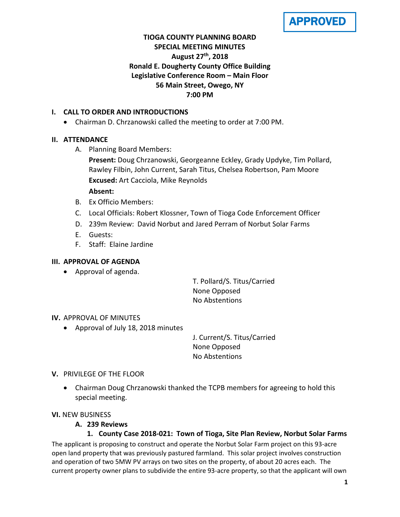APPROVED

# **TIOGA COUNTY PLANNING BOARD SPECIAL MEETING MINUTES August 27th, 2018 Ronald E. Dougherty County Office Building Legislative Conference Room – Main Floor 56 Main Street, Owego, NY 7:00 PM**

### **I. CALL TO ORDER AND INTRODUCTIONS**

• Chairman D. Chrzanowski called the meeting to order at 7:00 PM.

# **II. ATTENDANCE**

A. Planning Board Members:

**Present:** Doug Chrzanowski, Georgeanne Eckley, Grady Updyke, Tim Pollard, Rawley Filbin, John Current, Sarah Titus, Chelsea Robertson, Pam Moore **Excused:** Art Cacciola, Mike Reynolds

### **Absent:**

- B. Ex Officio Members:
- C. Local Officials: Robert Klossner, Town of Tioga Code Enforcement Officer
- D. 239m Review: David Norbut and Jared Perram of Norbut Solar Farms
- E. Guests:
- F. Staff: Elaine Jardine

### **III. APPROVAL OF AGENDA**

• Approval of agenda.

T. Pollard/S. Titus/Carried None Opposed No Abstentions

### **IV.** APPROVAL OF MINUTES

• Approval of July 18, 2018 minutes

J. Current/S. Titus/Carried None Opposed No Abstentions

- **V.** PRIVILEGE OF THE FLOOR
	- Chairman Doug Chrzanowski thanked the TCPB members for agreeing to hold this special meeting.

### **VI.** NEW BUSINESS

### **A. 239 Reviews**

**1. County Case 2018-021: Town of Tioga, Site Plan Review, Norbut Solar Farms**

The applicant is proposing to construct and operate the Norbut Solar Farm project on this 93-acre open land property that was previously pastured farmland. This solar project involves construction and operation of two 5MW PV arrays on two sites on the property, of about 20 acres each. The current property owner plans to subdivide the entire 93-acre property, so that the applicant will own